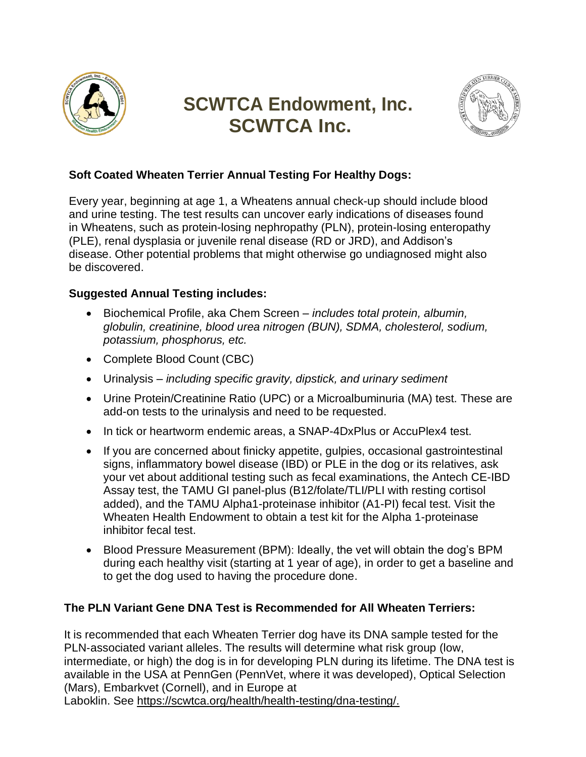

# **SCWTCA Endowment, Inc. SCWTCA Inc.**



# **Soft Coated Wheaten Terrier Annual Testing For Healthy Dogs:**

Every year, beginning at age 1, a Wheatens annual check-up should include blood and urine testing. The test results can uncover early indications of diseases found in Wheatens, such as protein-losing nephropathy (PLN), protein-losing enteropathy (PLE), renal dysplasia or juvenile renal disease (RD or JRD), and Addison's disease. Other potential problems that might otherwise go undiagnosed might also be discovered.

## **Suggested Annual Testing includes:**

- Biochemical Profile, aka Chem Screen *includes total protein, albumin, globulin, creatinine, blood urea nitrogen (BUN), SDMA, cholesterol, sodium, potassium, phosphorus, etc.*
- Complete Blood Count (CBC)
- Urinalysis *including specific gravity, dipstick, and urinary sediment*
- Urine Protein/Creatinine Ratio (UPC) or a Microalbuminuria (MA) test. These are add-on tests to the urinalysis and need to be requested.
- In tick or heartworm endemic areas, a SNAP-4DxPlus or AccuPlex4 test.
- If you are concerned about finicky appetite, gulpies, occasional gastrointestinal signs, inflammatory bowel disease (IBD) or PLE in the dog or its relatives, ask your vet about additional testing such as fecal examinations, the Antech CE-IBD Assay test, the TAMU GI panel-plus (B12/folate/TLI/PLI with resting cortisol added), and the TAMU Alpha1-proteinase inhibitor (A1-PI) fecal test. Visit the Wheaten Health Endowment to obtain a test kit for the Alpha 1-proteinase inhibitor fecal test.
- Blood Pressure Measurement (BPM): Ideally, the vet will obtain the dog's BPM during each healthy visit (starting at 1 year of age), in order to get a baseline and to get the dog used to having the procedure done.

## **The PLN Variant Gene DNA Test is Recommended for All Wheaten Terriers:**

It is recommended that each Wheaten Terrier dog have its DNA sample tested for the PLN‐associated variant alleles. The results will determine what risk group (low, intermediate, or high) the dog is in for developing PLN during its lifetime. The DNA test is available in the USA at PennGen (PennVet, where it was developed), Optical Selection (Mars), Embarkvet (Cornell), and in Europe at Laboklin. See [https://scwtca.org/health/health-testing/dna-testing/.](https://scwtca.org/health/health-testing/dna-testing/)